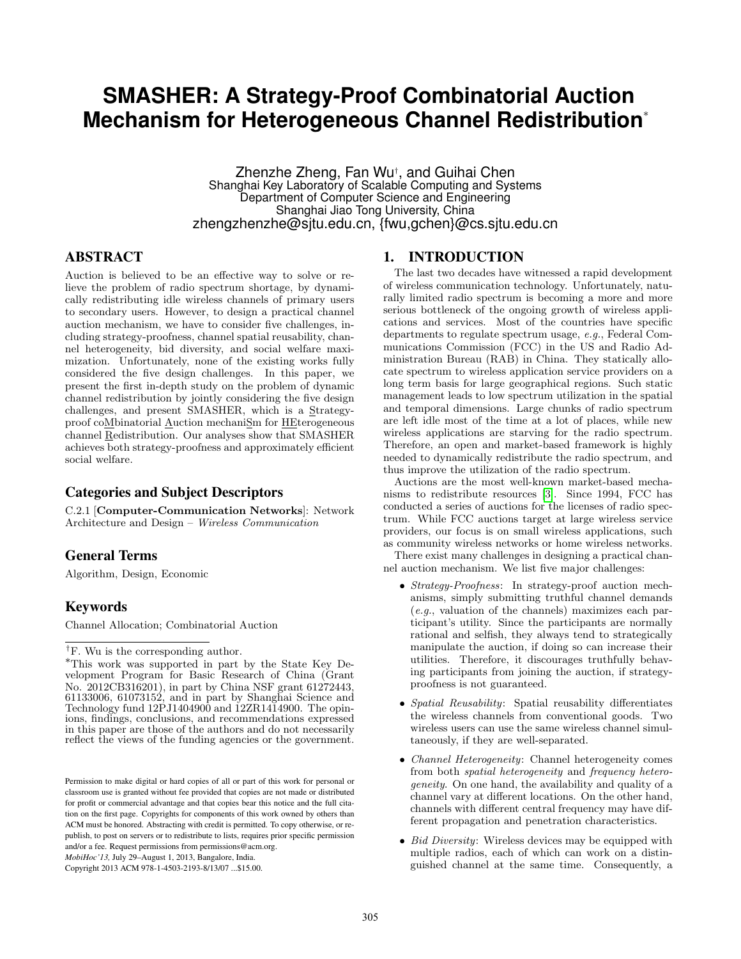# **SMASHER: A Strategy-Proof Combinatorial Auction Mechanism for Heterogeneous Channel Redistribution**<sup>∗</sup>

Zhenzhe Zheng, Fan Wu† , and Guihai Chen Shanghai Key Laboratory of Scalable Computing and Systems Department of Computer Science and Engineering Shanghai Jiao Tong University, China zhengzhenzhe@sjtu.edu.cn, {fwu,gchen}@cs.sjtu.edu.cn

# ABSTRACT

Auction is believed to be an effective way to solve or relieve the problem of radio spectrum shortage, by dynamically redistributing idle wireless channels of primary users to secondary users. However, to design a practical channel auction mechanism, we have to consider five challenges, including strategy-proofness, channel spatial reusability, channel heterogeneity, bid diversity, and social welfare maximization. Unfortunately, none of the existing works fully considered the five design challenges. In this paper, we present the first in-depth study on the problem of dynamic channel redistribution by jointly considering the five design challenges, and present SMASHER, which is a Strategyproof coMbinatorial Auction mechaniSm for HEterogeneous channel Redistribution. Our analyses show that SMASHER achieves both strategy-proofness and approximately efficient social welfare.

# Categories and Subject Descriptors

C.2.1 [Computer-Communication Networks]: Network Architecture and Design – Wireless Communication

# General Terms

Algorithm, Design, Economic

# Keywords

Channel Allocation; Combinatorial Auction

## 1. INTRODUCTION

The last two decades have witnessed a rapid development of wireless communication technology. Unfortunately, naturally limited radio spectrum is becoming a more and more serious bottleneck of the ongoing growth of wireless applications and services. Most of the countries have specific departments to regulate spectrum usage, e.g., Federal Communications Commission (FCC) in the US and Radio Administration Bureau (RAB) in China. They statically allocate spectrum to wireless application service providers on a long term basis for large geographical regions. Such static management leads to low spectrum utilization in the spatial and temporal dimensions. Large chunks of radio spectrum are left idle most of the time at a lot of places, while new wireless applications are starving for the radio spectrum. Therefore, an open and market-based framework is highly needed to dynamically redistribute the radio spectrum, and thus improve the utilization of the radio spectrum.

Auctions are the most well-known market-based mechanisms to redistribute resources [\[3\]](#page-3-0). Since 1994, FCC has conducted a series of auctions for the licenses of radio spectrum. While FCC auctions target at large wireless service providers, our focus is on small wireless applications, such as community wireless networks or home wireless networks.

There exist many challenges in designing a practical channel auction mechanism. We list five major challenges:

- Strategy-Proofness: In strategy-proof auction mechanisms, simply submitting truthful channel demands (e.g., valuation of the channels) maximizes each participant's utility. Since the participants are normally rational and selfish, they always tend to strategically manipulate the auction, if doing so can increase their utilities. Therefore, it discourages truthfully behaving participants from joining the auction, if strategyproofness is not guaranteed.
- Spatial Reusability: Spatial reusability differentiates the wireless channels from conventional goods. Two wireless users can use the same wireless channel simultaneously, if they are well-separated.
- Channel Heterogeneity: Channel heterogeneity comes from both spatial heterogeneity and frequency heterogeneity. On one hand, the availability and quality of a channel vary at different locations. On the other hand, channels with different central frequency may have different propagation and penetration characteristics.
- Bid Diversity: Wireless devices may be equipped with multiple radios, each of which can work on a distinguished channel at the same time. Consequently, a

<sup>&</sup>lt;sup>†</sup>F. Wu is the corresponding author.

<sup>∗</sup>This work was supported in part by the State Key Development Program for Basic Research of China (Grant No. 2012CB316201), in part by China NSF grant 61272443, 61133006, 61073152, and in part by Shanghai Science and Technology fund 12PJ1404900 and 12ZR1414900. The opinions, findings, conclusions, and recommendations expressed in this paper are those of the authors and do not necessarily reflect the views of the funding agencies or the government.

Permission to make digital or hard copies of all or part of this work for personal or classroom use is granted without fee provided that copies are not made or distributed for profit or commercial advantage and that copies bear this notice and the full citation on the first page. Copyrights for components of this work owned by others than ACM must be honored. Abstracting with credit is permitted. To copy otherwise, or republish, to post on servers or to redistribute to lists, requires prior specific permission and/or a fee. Request permissions from permissions@acm.org.

*MobiHoc'13,* July 29–August 1, 2013, Bangalore, India.

Copyright 2013 ACM 978-1-4503-2193-8/13/07 ...\$15.00.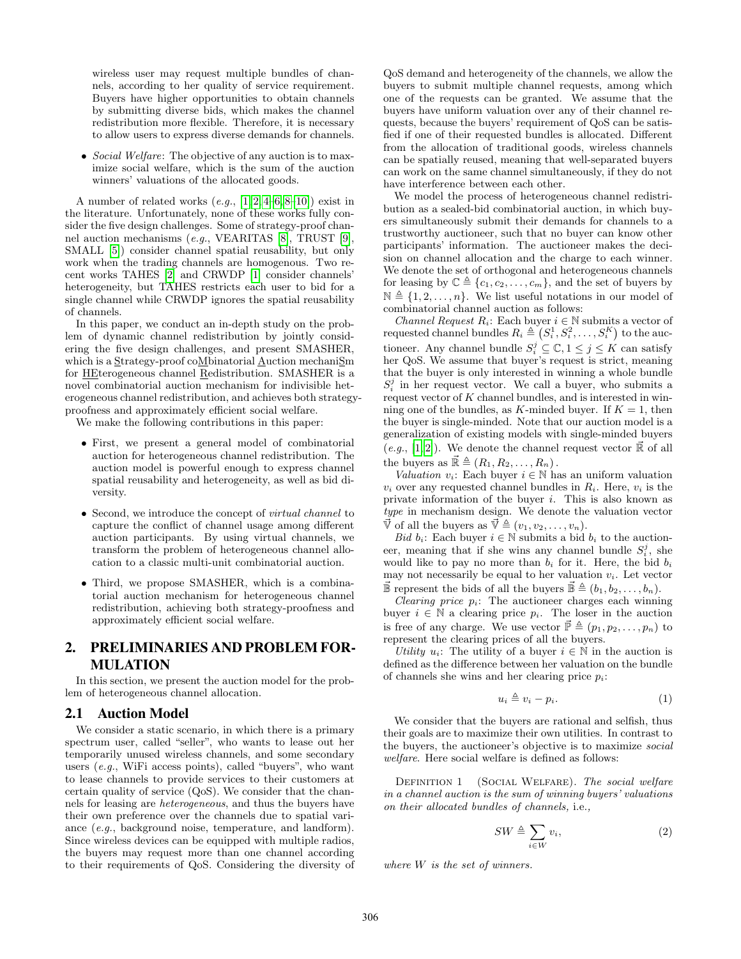wireless user may request multiple bundles of channels, according to her quality of service requirement. Buyers have higher opportunities to obtain channels by submitting diverse bids, which makes the channel redistribution more flexible. Therefore, it is necessary to allow users to express diverse demands for channels.

• Social Welfare: The objective of any auction is to maximize social welfare, which is the sum of the auction winners' valuations of the allocated goods.

A number of related works  $(e.g., [1, 2, 4-6, 8-10])$  $(e.g., [1, 2, 4-6, 8-10])$  $(e.g., [1, 2, 4-6, 8-10])$  $(e.g., [1, 2, 4-6, 8-10])$  $(e.g., [1, 2, 4-6, 8-10])$  $(e.g., [1, 2, 4-6, 8-10])$  $(e.g., [1, 2, 4-6, 8-10])$  exist in the literature. Unfortunately, none of these works fully consider the five design challenges. Some of strategy-proof channel auction mechanisms (e.g., VEARITAS [\[8\]](#page-3-5), TRUST [\[9\]](#page-3-7), SMALL [\[5\]](#page-3-8)) consider channel spatial reusability, but only work when the trading channels are homogenous. Two recent works TAHES [\[2\]](#page-3-2) and CRWDP [\[1\]](#page-3-1) consider channels' heterogeneity, but TAHES restricts each user to bid for a single channel while CRWDP ignores the spatial reusability of channels.

In this paper, we conduct an in-depth study on the problem of dynamic channel redistribution by jointly considering the five design challenges, and present SMASHER, which is a Strategy-proof coMbinatorial Auction mechaniSm for HEterogeneous channel Redistribution. SMASHER is a novel combinatorial auction mechanism for indivisible heterogeneous channel redistribution, and achieves both strategyproofness and approximately efficient social welfare.

We make the following contributions in this paper:

- First, we present a general model of combinatorial auction for heterogeneous channel redistribution. The auction model is powerful enough to express channel spatial reusability and heterogeneity, as well as bid diversity.
- Second, we introduce the concept of *virtual channel* to capture the conflict of channel usage among different auction participants. By using virtual channels, we transform the problem of heterogeneous channel allocation to a classic multi-unit combinatorial auction.
- Third, we propose SMASHER, which is a combinatorial auction mechanism for heterogeneous channel redistribution, achieving both strategy-proofness and approximately efficient social welfare.

# 2. PRELIMINARIES AND PROBLEM FOR-MULATION

In this section, we present the auction model for the problem of heterogeneous channel allocation.

# 2.1 Auction Model

We consider a static scenario, in which there is a primary spectrum user, called "seller", who wants to lease out her temporarily unused wireless channels, and some secondary users (e.g., WiFi access points), called "buyers", who want to lease channels to provide services to their customers at certain quality of service (QoS). We consider that the channels for leasing are heterogeneous, and thus the buyers have their own preference over the channels due to spatial variance (e.g., background noise, temperature, and landform). Since wireless devices can be equipped with multiple radios, the buyers may request more than one channel according to their requirements of QoS. Considering the diversity of QoS demand and heterogeneity of the channels, we allow the buyers to submit multiple channel requests, among which one of the requests can be granted. We assume that the buyers have uniform valuation over any of their channel requests, because the buyers' requirement of QoS can be satisfied if one of their requested bundles is allocated. Different from the allocation of traditional goods, wireless channels can be spatially reused, meaning that well-separated buyers can work on the same channel simultaneously, if they do not have interference between each other.

We model the process of heterogeneous channel redistribution as a sealed-bid combinatorial auction, in which buyers simultaneously submit their demands for channels to a trustworthy auctioneer, such that no buyer can know other participants' information. The auctioneer makes the decision on channel allocation and the charge to each winner. We denote the set of orthogonal and heterogeneous channels for leasing by  $\mathbb{C} \triangleq \{c_1, c_2, \ldots, c_m\}$ , and the set of buyers by  $\mathbb{N} \triangleq \{1, 2, \ldots, n\}$ . We list useful notations in our model of combinatorial channel auction as follows:

Channel Request  $R_i$ : Each buyer  $i \in \mathbb{N}$  submits a vector of requested channel bundles  $R_i \triangleq (S_i^1, S_i^2, \ldots, S_i^K)$  to the auctioneer. Any channel bundle  $S_i^j \subseteq \mathbb{C}, 1 \leq j \leq K$  can satisfy her QoS. We assume that buyer's request is strict, meaning that the buyer is only interested in winning a whole bundle  $S_i^j$  in her request vector. We call a buyer, who submits a request vector of  $K$  channel bundles, and is interested in winning one of the bundles, as K-minded buyer. If  $K = 1$ , then the buyer is single-minded. Note that our auction model is a generalization of existing models with single-minded buyers (e.g., [\[1,](#page-3-1)2]). We denote the channel request vector  $\vec{\mathbb{R}}$  of all the buyers as  $\mathbb{R} \triangleq (R_1, R_2, \ldots, R_n)$ .

Valuation  $v_i$ : Each buyer  $i \in \mathbb{N}$  has an uniform valuation  $v_i$  over any requested channel bundles in  $R_i$ . Here,  $v_i$  is the private information of the buyer  $i$ . This is also known as type in mechanism design. We denote the valuation vector  $\vec{\mathbb{V}}$  of all the buyers as  $\vec{\mathbb{V}} \triangleq (v_1, v_2, \ldots, v_n)$ .

Bid  $b_i$ : Each buyer  $i \in \mathbb{N}$  submits a bid  $b_i$  to the auctioneer, meaning that if she wins any channel bundle  $S_i^j$ , she would like to pay no more than  $b_i$  for it. Here, the bid  $b_i$ may not necessarily be equal to her valuation  $v_i$ . Let vector  $\vec{\mathbb{B}}$  represent the bids of all the buyers  $\vec{\mathbb{B}} \triangleq (b_1, b_2, \ldots, b_n).$ 

*Clearing price*  $p_i$ : The auctioneer charges each winning buyer  $i \in \mathbb{N}$  a clearing price  $p_i$ . The loser in the auction is free of any charge. We use vector  $\vec{\mathbb{P}} \triangleq (p_1, p_2, \ldots, p_n)$  to represent the clearing prices of all the buyers.

Utility  $u_i$ : The utility of a buyer  $i \in \mathbb{N}$  in the auction is defined as the difference between her valuation on the bundle of channels she wins and her clearing price  $p_i$ :

$$
u_i \triangleq v_i - p_i. \tag{1}
$$

We consider that the buyers are rational and selfish, thus their goals are to maximize their own utilities. In contrast to the buyers, the auctioneer's objective is to maximize social welfare. Here social welfare is defined as follows:

DEFINITION 1 (SOCIAL WELFARE). The social welfare in a channel auction is the sum of winning buyers' valuations on their allocated bundles of channels, i.e.,

$$
SW \triangleq \sum_{i \in W} v_i,\tag{2}
$$

where  $W$  is the set of winners.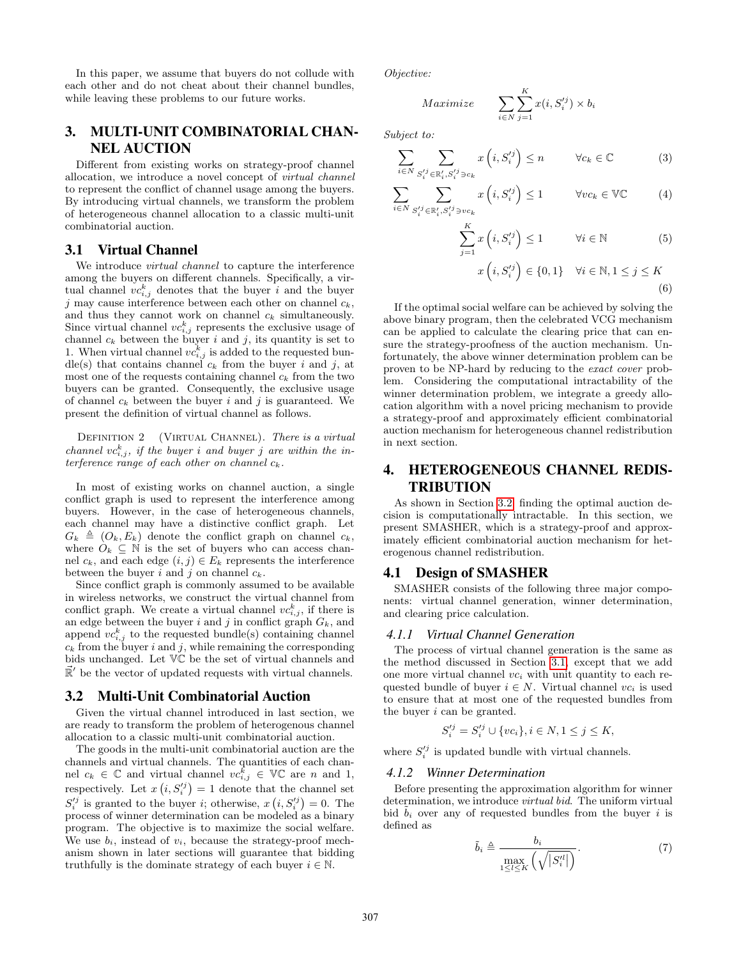In this paper, we assume that buyers do not collude with each other and do not cheat about their channel bundles, while leaving these problems to our future works.

# 3. MULTI-UNIT COMBINATORIAL CHAN-NEL AUCTION

Different from existing works on strategy-proof channel allocation, we introduce a novel concept of virtual channel to represent the conflict of channel usage among the buyers. By introducing virtual channels, we transform the problem of heterogeneous channel allocation to a classic multi-unit combinatorial auction.

#### <span id="page-2-1"></span>3.1 Virtual Channel

We introduce *virtual channel* to capture the interference among the buyers on different channels. Specifically, a virtual channel  $vc_{i,j}^k$  denotes that the buyer i and the buyer j may cause interference between each other on channel  $c_k$ , and thus they cannot work on channel  $c_k$  simultaneously. Since virtual channel  $vc_{i,j}^k$  represents the exclusive usage of channel  $c_k$  between the buyer i and j, its quantity is set to 1. When virtual channel  $vc_{i,j}^k$  is added to the requested bundle(s) that contains channel  $c_k$  from the buyer i and j, at most one of the requests containing channel  $c_k$  from the two buyers can be granted. Consequently, the exclusive usage of channel  $c_k$  between the buyer i and j is guaranteed. We present the definition of virtual channel as follows.

DEFINITION 2 (VIRTUAL CHANNEL). There is a virtual channel  $vc_{i,j}^k$ , if the buyer i and buyer j are within the interference range of each other on channel  $c_k$ .

In most of existing works on channel auction, a single conflict graph is used to represent the interference among buyers. However, in the case of heterogeneous channels, each channel may have a distinctive conflict graph. Let  $G_k \triangleq (O_k, E_k)$  denote the conflict graph on channel  $c_k$ , where  $O_k \subseteq \mathbb{N}$  is the set of buyers who can access channel  $c_k$ , and each edge  $(i, j) \in E_k$  represents the interference between the buyer  $i$  and  $j$  on channel  $c_k$ .

Since conflict graph is commonly assumed to be available in wireless networks, we construct the virtual channel from conflict graph. We create a virtual channel  $vc_{i,j}^k$ , if there is an edge between the buyer i and j in conflict graph  $G_k$ , and append  $vc_{i,j}^k$  to the requested bundle(s) containing channel  $c_k$  from the buyer i and j, while remaining the corresponding bids unchanged. Let VC be the set of virtual channels and  $\mathbb{R}^{\prime}$  be the vector of updated requests with virtual channels.

#### <span id="page-2-0"></span>3.2 Multi-Unit Combinatorial Auction

Given the virtual channel introduced in last section, we are ready to transform the problem of heterogenous channel allocation to a classic multi-unit combinatorial auction.

The goods in the multi-unit combinatorial auction are the channels and virtual channels. The quantities of each channel  $c_k \in \mathbb{C}$  and virtual channel  $vc_{i,j}^{\hat{k}} \in \mathbb{VC}$  are *n* and 1, respectively. Let  $x(i, S_i'^j) = 1$  denote that the channel set  $S_i^{\prime j}$  is granted to the buyer *i*; otherwise,  $x(i, S_i^{\prime j}) = 0$ . The process of winner determination can be modeled as a binary program. The objective is to maximize the social welfare. We use  $b_i$ , instead of  $v_i$ , because the strategy-proof mechanism shown in later sections will guarantee that bidding truthfully is the dominate strategy of each buyer  $i \in \mathbb{N}$ .

Objective:

$$
Maximize \qquad \sum_{i \in N} \sum_{j=1}^{K} x(i, S_i'^j) \times b_i
$$

Subject to:

$$
\sum_{i \in N} \sum_{S_i'^j \in \mathbb{R}'_i, S_i'^j \ni c_k} x\left(i, S_i'^j\right) \le n \qquad \forall c_k \in \mathbb{C}
$$
 (3)

$$
\sum_{i \in N} \sum_{S_i'^j \in \mathbb{R}'_i, S_i'^j \ni vc_k} x\left(i, S_i'^j\right) \le 1 \qquad \forall vc_k \in \mathbb{VC} \tag{4}
$$

$$
\sum_{j=1}^{K} x\left(i, S_i^{\prime j}\right) \le 1 \qquad \forall i \in \mathbb{N} \tag{5}
$$

$$
x\left(i, S_i^{'j}\right) \in \{0, 1\} \quad \forall i \in \mathbb{N}, 1 \le j \le K
$$
\n
$$
(6)
$$

If the optimal social welfare can be achieved by solving the above binary program, then the celebrated VCG mechanism can be applied to calculate the clearing price that can ensure the strategy-proofness of the auction mechanism. Unfortunately, the above winner determination problem can be proven to be NP-hard by reducing to the exact cover problem. Considering the computational intractability of the winner determination problem, we integrate a greedy allocation algorithm with a novel pricing mechanism to provide a strategy-proof and approximately efficient combinatorial auction mechanism for heterogeneous channel redistribution in next section.

# 4. HETEROGENEOUS CHANNEL REDIS-**TRIBUTION**

As shown in Section [3.2,](#page-2-0) finding the optimal auction decision is computationally intractable. In this section, we present SMASHER, which is a strategy-proof and approximately efficient combinatorial auction mechanism for heterogenous channel redistribution.

## 4.1 Design of SMASHER

SMASHER consists of the following three major components: virtual channel generation, winner determination, and clearing price calculation.

#### *4.1.1 Virtual Channel Generation*

The process of virtual channel generation is the same as the method discussed in Section [3.1,](#page-2-1) except that we add one more virtual channel  $vc_i$  with unit quantity to each requested bundle of buyer  $i \in N$ . Virtual channel  $vc_i$  is used to ensure that at most one of the requested bundles from the buyer  $i$  can be granted.

$$
S_i'^j = S_i'^j \cup \{vc_i\}, i \in N, 1 \le j \le K,
$$

where  $S_i'^j$  is updated bundle with virtual channels.

#### *4.1.2 Winner Determination*

Before presenting the approximation algorithm for winner determination, we introduce *virtual bid*. The uniform virtual bid  $\tilde{b}_i$  over any of requested bundles from the buyer i is defined as

$$
\tilde{b}_i \triangleq \frac{b_i}{\max_{1 \le l \le K} \left(\sqrt{|S_i^{l|}}\right)}.\tag{7}
$$